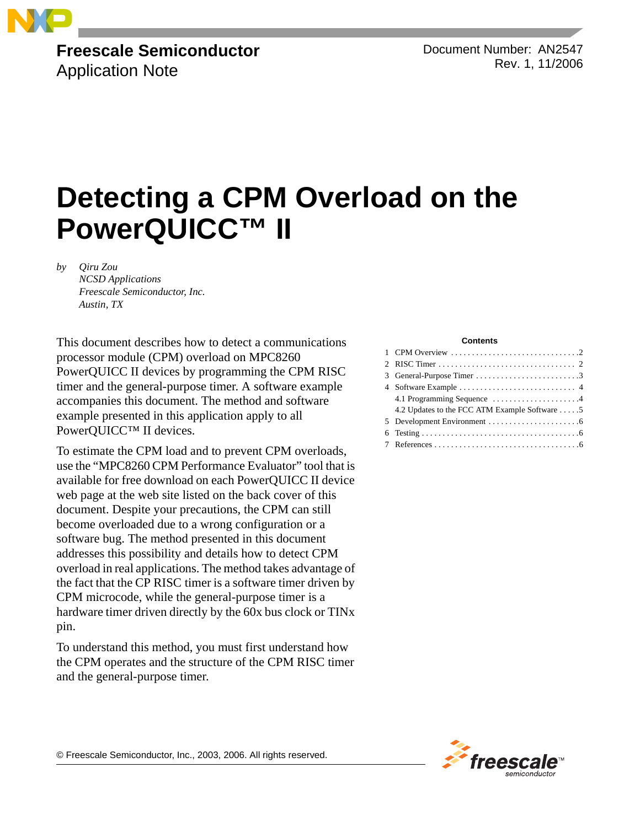

### **Freescale Semiconductor** Application Note

Document Number: AN2547 Rev. 1, 11/2006

# **Detecting a CPM Overload on the PowerQUICC™ II**

*by Qiru Zou NCSD Applications Freescale Semiconductor, Inc. Austin, TX*

This document describes how to detect a communications processor module (CPM) overload on MPC8260 PowerQUICC II devices by programming the CPM RISC timer and the general-purpose timer. A software example accompanies this document. The method and software example presented in this application apply to all PowerQUICC™ II devices.

To estimate the CPM load and to prevent CPM overloads, use the "MPC8260 CPM Performance Evaluator" tool that is available for free download on each PowerQUICC II device web page at the web site listed on the back cover of this document. Despite your precautions, the CPM can still become overloaded due to a wrong configuration or a software bug. The method presented in this document addresses this possibility and details how to detect CPM overload in real applications. The method takes advantage of the fact that the CP RISC timer is a software timer driven by CPM microcode, while the general-purpose timer is a hardware timer driven directly by the 60x bus clock or TINx pin.

To understand this method, you must first understand how the CPM operates and the structure of the CPM RISC timer and the general-purpose timer.

#### **Contents**

| 3 General-Purpose Timer 3                     |
|-----------------------------------------------|
|                                               |
| 4.1 Programming Sequence 4                    |
| 4.2 Updates to the FCC ATM Example Software 5 |
|                                               |
|                                               |
|                                               |



© Freescale Semiconductor, Inc., 2003, 2006. All rights reserved.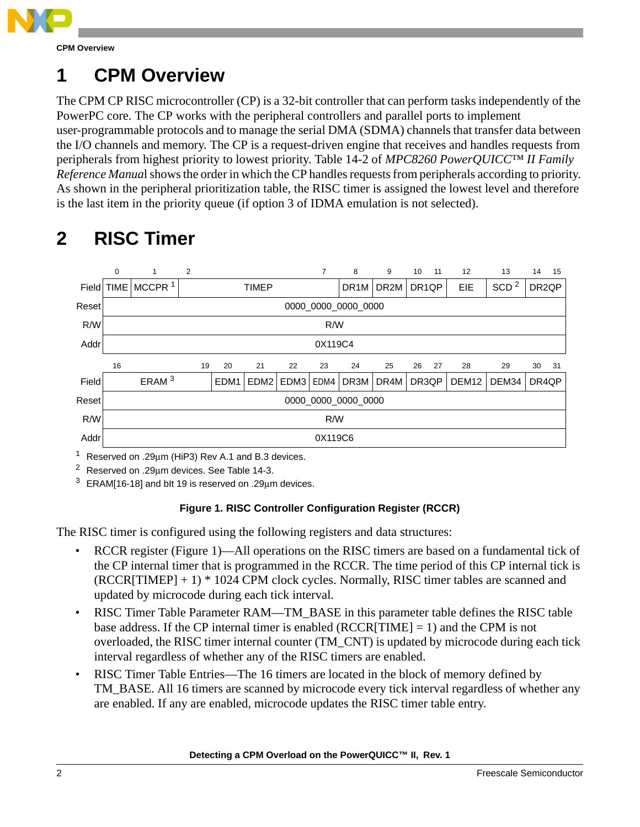

## **1 CPM Overview**

The CPM CP RISC microcontroller (CP) is a 32-bit controller that can perform tasks independently of the PowerPC core. The CP works with the peripheral controllers and parallel ports to implement user-programmable protocols and to manage the serial DMA (SDMA) channels that transfer data between the I/O channels and memory. The CP is a request-driven engine that receives and handles requests from peripherals from highest priority to lowest priority. Table 14-2 of *MPC8260 PowerQUICC™ II Family Reference Manua*l shows the order in which the CP handles requests from peripherals according to priority. As shown in the peripheral prioritization table, the RISC timer is assigned the lowest level and therefore is the last item in the priority queue (if option 3 of IDMA emulation is not selected).

### 0 1 2 7 8 9 10 11 12 13 14 15 Field TIME MCCPR<sup>1</sup> TIMEP TIMEP DR1M DR2M DR1QP EIE SCD<sup>2</sup> DR2QP Reset 0000\_0000\_0000\_0000 R/W R/W Addr 0X119C4 16 19 20 21 22 23 24 25 26 27 28 29 30 31 Field ERAM <sup>3</sup> EDM1 EDM2 EDM3 EDM4 DR3M DR4M DR3QP DEM12 DEM34 DR4QP Reset 0000\_0000\_0000\_0000 R/W R/W Addr 0X119C6

## **2 RISC Timer**

<sup>1</sup> Reserved on .29 $\mu$ m (HiP3) Rev A.1 and B.3 devices.

<sup>2</sup> Reserved on .29μm devices. See Table 14-3.

 $3$  ERAM[16-18] and blt 19 is reserved on .29 $μ$ m devices.

### **Figure 1. RISC Controller Configuration Register (RCCR)**

The RISC timer is configured using the following registers and data structures:

- RCCR register (Figure 1)—All operations on the RISC timers are based on a fundamental tick of the CP internal timer that is programmed in the RCCR. The time period of this CP internal tick is  $(RCCR[TIMEP] + 1) * 1024$  CPM clock cycles. Normally, RISC timer tables are scanned and updated by microcode during each tick interval.
- RISC Timer Table Parameter RAM—TM\_BASE in this parameter table defines the RISC table base address. If the CP internal timer is enabled  $(RCCR|TIME] = 1)$  and the CPM is not overloaded, the RISC timer internal counter (TM\_CNT) is updated by microcode during each tick interval regardless of whether any of the RISC timers are enabled.
- RISC Timer Table Entries—The 16 timers are located in the block of memory defined by TM\_BASE. All 16 timers are scanned by microcode every tick interval regardless of whether any are enabled. If any are enabled, microcode updates the RISC timer table entry.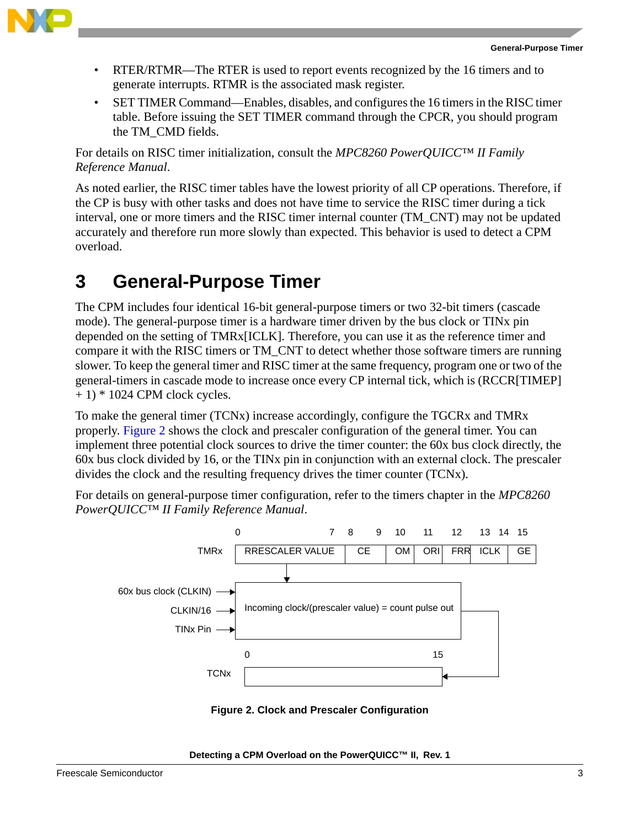

- RTER/RTMR—The RTER is used to report events recognized by the 16 timers and to generate interrupts. RTMR is the associated mask register.
- SET TIMER Command—Enables, disables, and configures the 16 timers in the RISC timer table. Before issuing the SET TIMER command through the CPCR, you should program the TM\_CMD fields.

For details on RISC timer initialization, consult the *MPC8260 PowerQUICC™ II Family Reference Manual*.

As noted earlier, the RISC timer tables have the lowest priority of all CP operations. Therefore, if the CP is busy with other tasks and does not have time to service the RISC timer during a tick interval, one or more timers and the RISC timer internal counter (TM\_CNT) may not be updated accurately and therefore run more slowly than expected. This behavior is used to detect a CPM overload.

## **3 General-Purpose Timer**

The CPM includes four identical 16-bit general-purpose timers or two 32-bit timers (cascade mode). The general-purpose timer is a hardware timer driven by the bus clock or TINx pin depended on the setting of TMRx[ICLK]. Therefore, you can use it as the reference timer and compare it with the RISC timers or TM\_CNT to detect whether those software timers are running slower. To keep the general timer and RISC timer at the same frequency, program one or two of the general-timers in cascade mode to increase once every CP internal tick, which is (RCCR[TIMEP]  $+ 1$ ) \* 1024 CPM clock cycles.

To make the general timer (TCNx) increase accordingly, configure the TGCRx and TMRx properly. [Figure 2](#page-2-0) shows the clock and prescaler configuration of the general timer. You can implement three potential clock sources to drive the timer counter: the 60x bus clock directly, the 60x bus clock divided by 16, or the TINx pin in conjunction with an external clock. The prescaler divides the clock and the resulting frequency drives the timer counter (TCNx).

For details on general-purpose timer configuration, refer to the timers chapter in the *MPC8260 PowerQUICC™ II Family Reference Manual*.





### <span id="page-2-0"></span>**Detecting a CPM Overload on the PowerQUICC™ II, Rev. 1**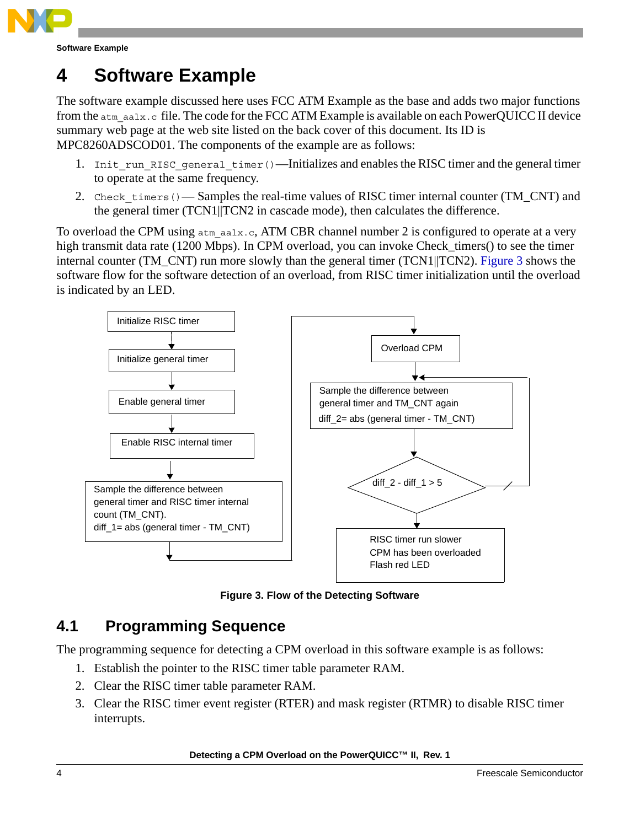

**Software Example**

## **4 Software Example**

The software example discussed here uses FCC ATM Example as the base and adds two major functions from the atm\_aalx.c file. The code for the FCC ATM Example is available on each PowerQUICC II device summary web page at the web site listed on the back cover of this document. Its ID is MPC8260ADSCOD01. The components of the example are as follows:

- 1. Init run RISC general timer()—Initializes and enables the RISC timer and the general timer to operate at the same frequency.
- 2. Check timers()— Samples the real-time values of RISC timer internal counter (TM\_CNT) and the general timer (TCN1||TCN2 in cascade mode), then calculates the difference.

To overload the CPM using  $atm$  aalx.c, ATM CBR channel number 2 is configured to operate at a very high transmit data rate (1200 Mbps). In CPM overload, you can invoke Check\_timers() to see the timer internal counter (TM\_CNT) run more slowly than the general timer (TCN1||TCN2). [Figure 3](#page-3-0) shows the software flow for the software detection of an overload, from RISC timer initialization until the overload is indicated by an LED.



**Figure 3. Flow of the Detecting Software**

### <span id="page-3-0"></span>**4.1 Programming Sequence**

The programming sequence for detecting a CPM overload in this software example is as follows:

- 1. Establish the pointer to the RISC timer table parameter RAM.
- 2. Clear the RISC timer table parameter RAM.
- 3. Clear the RISC timer event register (RTER) and mask register (RTMR) to disable RISC timer interrupts.

**Detecting a CPM Overload on the PowerQUICC™ II, Rev. 1**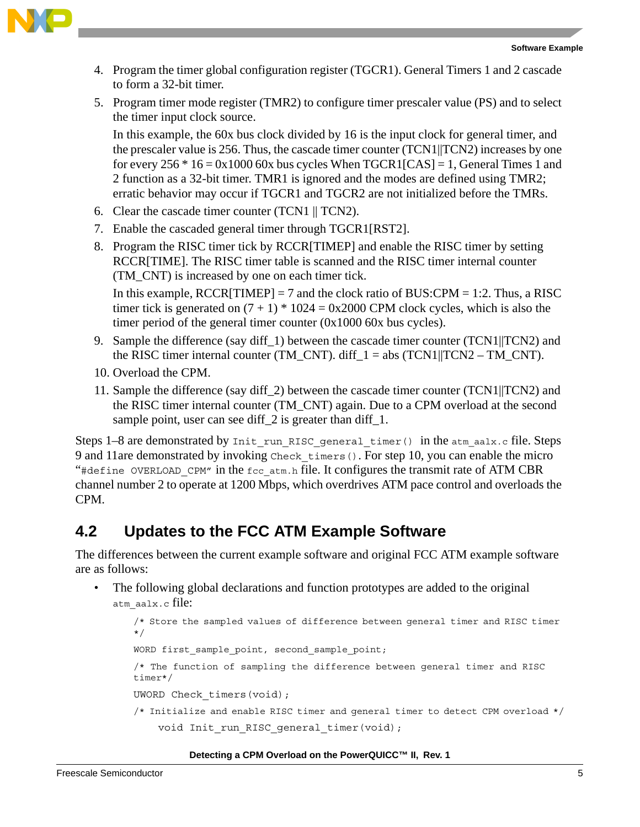

- 4. Program the timer global configuration register (TGCR1). General Timers 1 and 2 cascade to form a 32-bit timer.
- 5. Program timer mode register (TMR2) to configure timer prescaler value (PS) and to select the timer input clock source.

In this example, the 60x bus clock divided by 16 is the input clock for general timer, and the prescaler value is 256. Thus, the cascade timer counter (TCN1||TCN2) increases by one for every  $256 * 16 = 0x1000 60x$  bus cycles When  $TGCRI[CAS] = 1$ , General Times 1 and 2 function as a 32-bit timer. TMR1 is ignored and the modes are defined using TMR2; erratic behavior may occur if TGCR1 and TGCR2 are not initialized before the TMRs.

- 6. Clear the cascade timer counter (TCN1 || TCN2).
- 7. Enable the cascaded general timer through TGCR1[RST2].
- 8. Program the RISC timer tick by RCCR[TIMEP] and enable the RISC timer by setting RCCR[TIME]. The RISC timer table is scanned and the RISC timer internal counter (TM\_CNT) is increased by one on each timer tick.

In this example,  $RCCR[TIMEP] = 7$  and the clock ratio of BUS: $CPM = 1:2$ . Thus, a RISC timer tick is generated on  $(7 + 1) * 1024 = 0x2000$  CPM clock cycles, which is also the timer period of the general timer counter (0x1000 60x bus cycles).

- 9. Sample the difference (say diff. 1) between the cascade timer counter (TCN1||TCN2) and the RISC timer internal counter (TM\_CNT). diff\_1 = abs (TCN1||TCN2 – TM\_CNT).
- 10. Overload the CPM.
- 11. Sample the difference (say diff\_2) between the cascade timer counter (TCN1||TCN2) and the RISC timer internal counter (TM\_CNT) again. Due to a CPM overload at the second sample point, user can see diff 2 is greater than diff 1.

Steps  $1-8$  are demonstrated by Init run RISC general timer() in the atm aalx.c file. Steps 9 and 11are demonstrated by invoking Check\_timers(). For step 10, you can enable the micro "#define OVERLOAD CPM" in the fcc atm.h file. It configures the transmit rate of ATM CBR channel number 2 to operate at 1200 Mbps, which overdrives ATM pace control and overloads the CPM.

### **4.2 Updates to the FCC ATM Example Software**

The differences between the current example software and original FCC ATM example software are as follows:

The following global declarations and function prototypes are added to the original atm\_aalx.c file:

/\* Store the sampled values of difference between general timer and RISC timer \*/

WORD first sample point, second sample point;

/\* The function of sampling the difference between general timer and RISC timer\*/

UWORD Check timers(void);

/\* Initialize and enable RISC timer and general timer to detect CPM overload \*/ void Init run RISC general timer(void);

### **Detecting a CPM Overload on the PowerQUICC™ II, Rev. 1**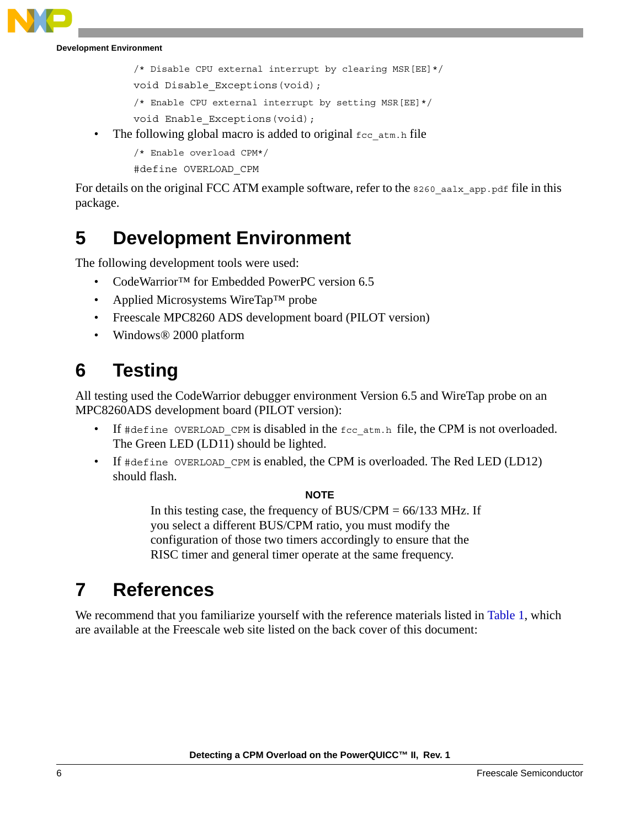**Development Environment**

```
/* Disable CPU external interrupt by clearing MSR[EE]*/
```
void Disable Exceptions(void);

```
/* Enable CPU external interrupt by setting MSR[EE]*/
```

```
void Enable_Exceptions(void);
```
The following global macro is added to original  $\epsilon_{\text{cc}}$  atm.h file

```
/* Enable overload CPM*/
```
#define OVERLOAD\_CPM

For details on the original FCC ATM example software, refer to the 8260 aalx app.pdf file in this package.

### **5 Development Environment**

The following development tools were used:

- CodeWarrior™ for Embedded PowerPC version 6.5
- Applied Microsystems WireTap™ probe
- Freescale MPC8260 ADS development board (PILOT version)
- Windows® 2000 platform

## **6 Testing**

All testing used the CodeWarrior debugger environment Version 6.5 and WireTap probe on an MPC8260ADS development board (PILOT version):

- If  $\#$ define OVERLOAD CPM is disabled in the fcc  $\#$  atm.h file, the CPM is not overloaded. The Green LED (LD11) should be lighted.
- If #define OVERLOAD CPM is enabled, the CPM is overloaded. The Red LED (LD12) should flash.

### **NOTE**

In this testing case, the frequency of  $BUS/CPM = 66/133 MHz$ . If you select a different BUS/CPM ratio, you must modify the configuration of those two timers accordingly to ensure that the RISC timer and general timer operate at the same frequency.

### **7 References**

We recommend that you familiarize yourself with the reference materials listed in [Table 1,](#page-6-0) which are available at the Freescale web site listed on the back cover of this document: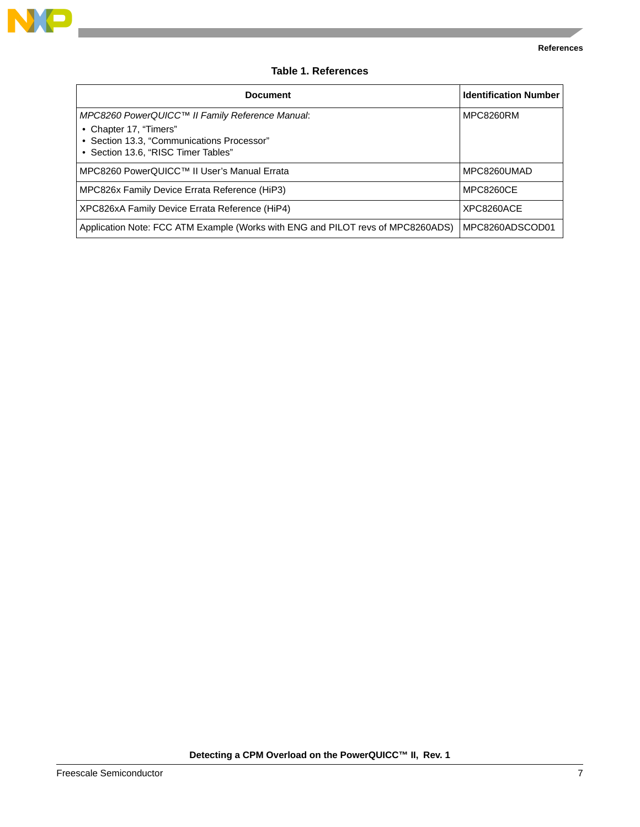

--

### **Table 1. References**

<span id="page-6-0"></span>

| <b>Document</b>                                                                                                                                                | <b>Identification Number</b> |
|----------------------------------------------------------------------------------------------------------------------------------------------------------------|------------------------------|
| MPC8260 PowerQUICC™ II Family Reference Manual:<br>• Chapter 17, "Timers"<br>• Section 13.3, "Communications Processor"<br>• Section 13.6, "RISC Timer Tables" | MPC8260RM                    |
| MPC8260 PowerQUICC™ II User's Manual Errata                                                                                                                    | MPC8260UMAD                  |
| MPC826x Family Device Errata Reference (HiP3)                                                                                                                  | <b>MPC8260CE</b>             |
| XPC826xA Family Device Errata Reference (HiP4)                                                                                                                 | XPC8260ACE                   |
| Application Note: FCC ATM Example (Works with ENG and PILOT revs of MPC8260ADS)                                                                                | MPC8260ADSCOD01              |